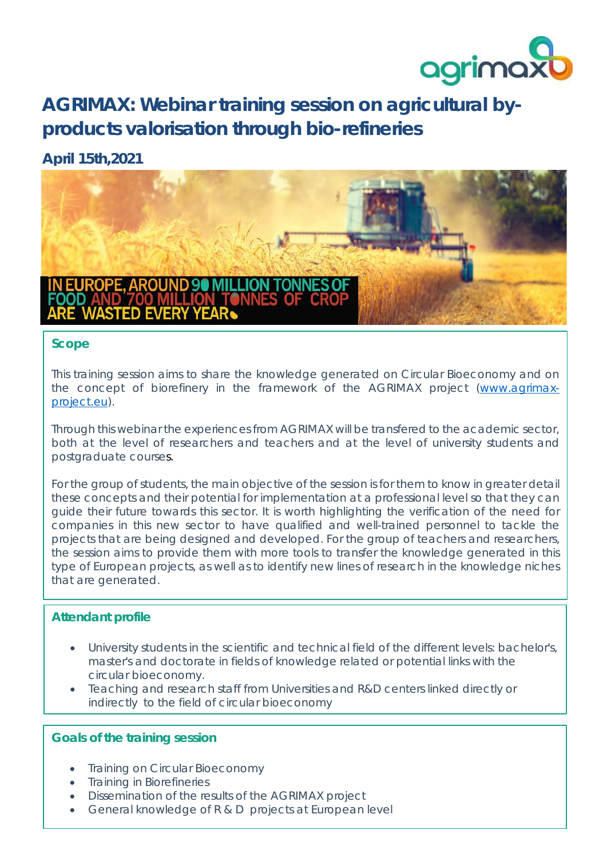

# **AGRIMAX: Webinar training session on agricultural byproducts valorisation through bio-refineries**

### **April 15th,2021**



#### **Scope**

This training session aims to share the knowledge generated on Circular Bioeconomy and on the concept of biorefinery in the framework of the AGRIMAX project [\(www.agrimax](http://www.agrimax-project.eu/)[project.eu\)](http://www.agrimax-project.eu/).

Through this webinar the experiences from AGRIMAX will be transfered to the academic sector, both at the level of researchers and teachers and at the level of university students and postgraduate courses.

For the group of students, the main objective of the session is for them to know in greater detail these concepts and their potential for implementation at a professional level so that they can guide their future towards this sector. It is worth highlighting the verification of the need for companies in this new sector to have qualified and well-trained personnel to tackle the projects that are being designed and developed. For the group of teachers and researchers, the session aims to provide them with more tools to transfer the knowledge generated in this type of European projects, as well as to identify new lines of research in the knowledge niches that are generated.

#### **Attendant profile**

- University students in the scientific and technical field of the different levels: bachelor's, master's and doctorate in fields of knowledge related or potential links with the circular bioeconomy.
- Teaching and research staff from Universities and R&D centers linked directly or indirectly to the field of circular bioeconomy

#### **Goals of the training session**

- **Training on Circular Bioeconomy**
- Training in Biorefineries
- Dissemination of the results of the AGRIMAX project
- General knowledge of R & D projects at European level